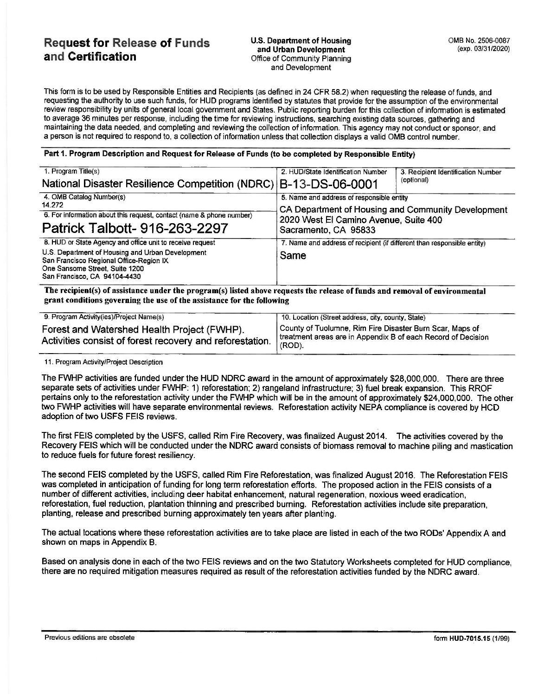## **Request for Release of Funds and Certification**

This form is to be used by Responsible Entities and Recipients (as defined in 24 CFR 58.2} when requesting the release of funds, and requesting the authority to use such funds, for HUD programs identified by statutes that provide for the assumption of the environmental review responsibility by units of general local government and States. Public reporting burden for this collection of information is estimated to average 36 minutes per response, including the time for reviewing instructions, searching existing data sources, gathering and maintaining the data needed, and completing and reviewing the collection of information. This agency may not conduct or sponsor, and a person is not required to respond to, a collection of information unless that collection displays a valid 0 MB control number.

**Part 1. Program Description and Request for Release of Funds (to be completed by Responsible Entity)** 

| 1. Program Title(s)<br>National Disaster Resilience Competition (NDRC) B-13-DS-06-0001                                                                                                                                     | 2. HUD/State Identification Number                                                                                                                               | 3. Recipient Identification Number<br>(optional) |
|----------------------------------------------------------------------------------------------------------------------------------------------------------------------------------------------------------------------------|------------------------------------------------------------------------------------------------------------------------------------------------------------------|--------------------------------------------------|
| 4. OMB Catalog Number(s)<br>14.272<br>6. For information about this request, contact (name & phone number)<br>Patrick Talbott- 916-263-2297                                                                                | 5. Name and address of responsible entity<br>CA Department of Housing and Community Development<br>2020 West El Camino Avenue, Suite 400<br>Sacramento, CA 95833 |                                                  |
| 8. HUD or State Agency and office unit to receive request<br>U.S. Department of Housing and Urban Development<br>San Francisco Regional Office-Region IX<br>One Sansome Street, Suite 1200<br>San Francisco, CA 94104-4430 | 7. Name and address of recipient (if different than responsible entity)<br>Same                                                                                  |                                                  |

**The recipient(s} of assistance under the program(s) listed above requests the release of funds and removal of environmental grant conditions governing the use of the assistance for the following** 

| 9. Program Activity(ies)/Project Name(s)                                                                | 10. Location (Street address, city, county, State)                                                                                 |
|---------------------------------------------------------------------------------------------------------|------------------------------------------------------------------------------------------------------------------------------------|
| Forest and Watershed Health Project (FWHP).<br>Activities consist of forest recovery and reforestation. | County of Tuolumne, Rim Fire Disaster Burn Scar, Maps of<br>treatment areas are in Appendix B of each Record of Decision<br>(ROD). |

11. Program Activity/Project Description

The FWHP activities are funded under the HUD NDRC award in the amount of approximately \$28,000,000. There are three separate sets of activities under FWHP: 1) reforestation; 2) rangeland infrastructure; 3) fuel break expansion. This RROF pertains only to the reforestation activity under the FWHP which will be in the amount of approximately \$24,000,000. The other two FWHP activities will have separate environmental reviews. Reforestation activity NEPA compliance is covered by HCD adoption of two USFS FEIS reviews.

The first FEIS completed by the USFS, called Rim Fire Recovery, was finalized August 2014. The activities covered by the Recovery FEIS which will be conducted under the NDRC award consists of biomass removal to machine piling and mastication to reduce fuels for future forest resiliency.

The second FEIS completed by the USFS, called Rim Fire Reforestation, was finalized August 2016. The Reforestation FEIS was completed in anticipation of funding for long term reforestation efforts. The proposed action in the FEIS consists of a number of different activities, including deer habitat enhancement, natural regeneration, noxious weed eradication, reforestation, fuel reduction, plantation thinning and prescribed burning. Reforestation activities include site preparation, planting, release and prescribed burning approximately ten years after planting.

The actual locations where these reforestation activities are to take place are listed in each of the two RODs' Appendix A and shown on maps in Appendix B.

Based on analysis done in each of the two FEIS reviews and on the two Statutory Worksheets completed for HUD compliance, there are no required mitigation measures required as result of the reforestation activities funded by the NDRC award.

Previous editions are obsolete form **HUD-7015.15** (1/99)